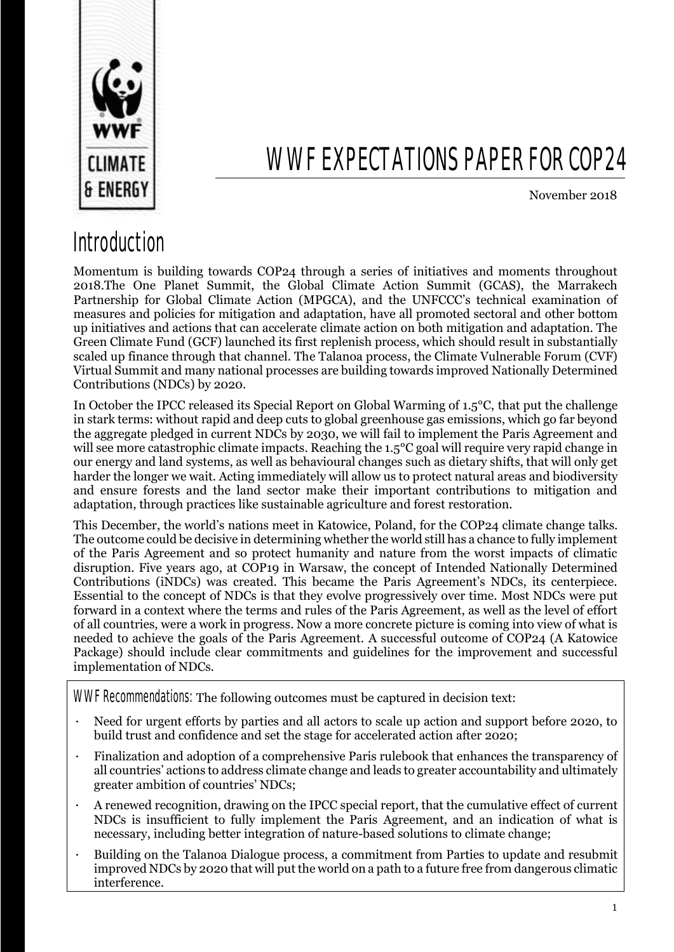

# WWF EXPECTATIONS PAPER FOR COP24

November 2018

### Introduction

Momentum is building towards COP24 through a series of initiatives and moments throughout 2018.The One Planet Summit, the Global Climate Action Summit (GCAS), the Marrakech Partnership for Global Climate Action (MPGCA), and the UNFCCC's technical examination of measures and policies for mitigation and adaptation, have all promoted sectoral and other bottom up initiatives and actions that can accelerate climate action on both mitigation and adaptation. The Green Climate Fund (GCF) launched its first replenish process, which should result in substantially scaled up finance through that channel. The Talanoa process, the Climate Vulnerable Forum (CVF) Virtual Summit and many national processes are building towards improved Nationally Determined Contributions (NDCs) by 2020.

In October the IPCC released its Special Report on Global Warming of 1.5°C, that put the challenge in stark terms: without rapid and deep cuts to global greenhouse gas emissions, which go far beyond the aggregate pledged in current NDCs by 2030, we will fail to implement the Paris Agreement and will see more catastrophic climate impacts. Reaching the 1.5<sup>o</sup>C goal will require very rapid change in our energy and land systems, as well as behavioural changes such as dietary shifts, that will only get harder the longer we wait. Acting immediately will allow us to protect natural areas and biodiversity and ensure forests and the land sector make their important contributions to mitigation and adaptation, through practices like sustainable agriculture and forest restoration.

This December, the world's nations meet in Katowice, Poland, for the COP24 climate change talks. The outcome could be decisive in determining whether the world still has a chance to fully implement of the Paris Agreement and so protect humanity and nature from the worst impacts of climatic disruption. Five years ago, at COP19 in Warsaw, the concept of Intended Nationally Determined Contributions (iNDCs) was created. This became the Paris Agreement's NDCs, its centerpiece. Essential to the concept of NDCs is that they evolve progressively over time. Most NDCs were put forward in a context where the terms and rules of the Paris Agreement, as well as the level of effort of all countries, were a work in progress. Now a more concrete picture is coming into view of what is needed to achieve the goals of the Paris Agreement. A successful outcome of COP24 (A Katowice Package) should include clear commitments and guidelines for the improvement and successful implementation of NDCs.

WWF Recommendations: The following outcomes must be captured in decision text:

- Need for urgent efforts by parties and all actors to scale up action and support before 2020, to build trust and confidence and set the stage for accelerated action after 2020;
- · Finalization and adoption of a comprehensive Paris rulebook that enhances the transparency of all countries' actions to address climate change and leads to greater accountability and ultimately greater ambition of countries' NDCs;
- · A renewed recognition, drawing on the IPCC special report, that the cumulative effect of current NDCs is insufficient to fully implement the Paris Agreement, and an indication of what is necessary, including better integration of nature-based solutions to climate change;
- · Building on the Talanoa Dialogue process, a commitment from Parties to update and resubmit improved NDCs by 2020 that will put the world on a path to a future free from dangerous climatic interference.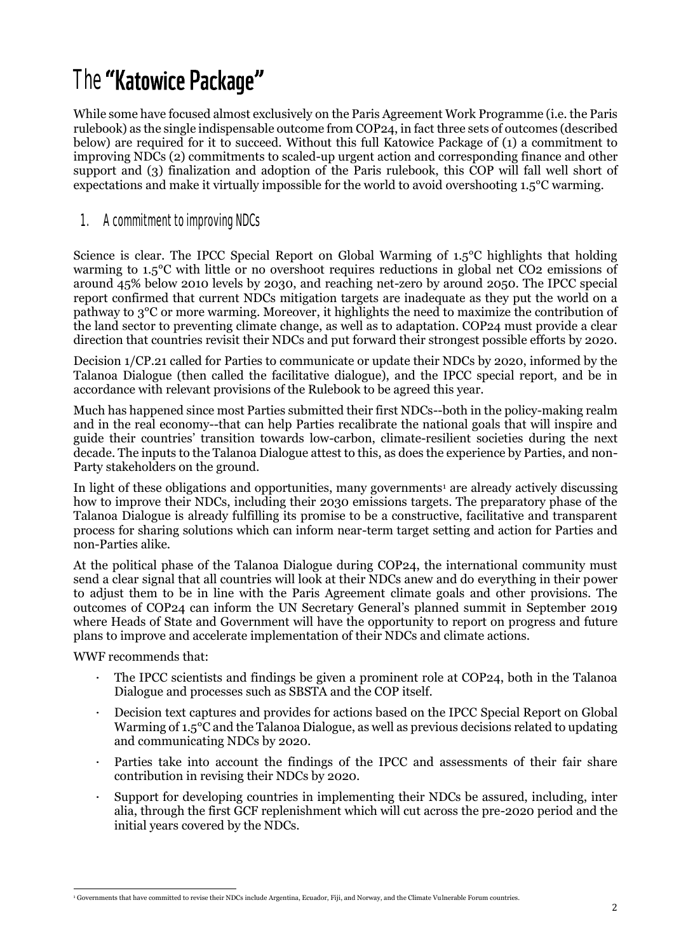## The "Katowice Package"

While some have focused almost exclusively on the Paris Agreement Work Programme (i.e. the Paris rulebook) as the single indispensable outcome from COP24, in fact three sets of outcomes (described below) are required for it to succeed. Without this full Katowice Package of (1) a commitment to improving NDCs (2) commitments to scaled-up urgent action and corresponding finance and other support and (3) finalization and adoption of the Paris rulebook, this COP will fall well short of expectations and make it virtually impossible for the world to avoid overshooting 1.5°C warming.

### 1. A commitment to improving NDCs

Science is clear. The IPCC Special Report on Global Warming of 1.5°C highlights that holding warming to 1.5°C with little or no overshoot requires reductions in global net CO2 emissions of around 45% below 2010 levels by 2030, and reaching net-zero by around 2050. The IPCC special report confirmed that current NDCs mitigation targets are inadequate as they put the world on a pathway to 3°C or more warming. Moreover, it highlights the need to maximize the contribution of the land sector to preventing climate change, as well as to adaptation. COP24 must provide a clear direction that countries revisit their NDCs and put forward their strongest possible efforts by 2020.

Decision 1/CP.21 called for Parties to communicate or update their NDCs by 2020, informed by the Talanoa Dialogue (then called the facilitative dialogue), and the IPCC special report, and be in accordance with relevant provisions of the Rulebook to be agreed this year.

Much has happened since most Parties submitted their first NDCs--both in the policy-making realm and in the real economy--that can help Parties recalibrate the national goals that will inspire and guide their countries' transition towards low-carbon, climate-resilient societies during the next decade. The inputs to the Talanoa Dialogue attest to this, as does the experience by Parties, and non-Party stakeholders on the ground.

In light of these obligations and opportunities, many governments<sup>1</sup> are already actively discussing how to improve their NDCs, including their 2030 emissions targets. The preparatory phase of the Talanoa Dialogue is already fulfilling its promise to be a constructive, facilitative and transparent process for sharing solutions which can inform near-term target setting and action for Parties and non-Parties alike.

At the political phase of the Talanoa Dialogue during COP24, the international community must send a clear signal that all countries will look at their NDCs anew and do everything in their power to adjust them to be in line with the Paris Agreement climate goals and other provisions. The outcomes of COP24 can inform the UN Secretary General's planned summit in September 2019 where Heads of State and Government will have the opportunity to report on progress and future plans to improve and accelerate implementation of their NDCs and climate actions.

WWF recommends that:

- · The IPCC scientists and findings be given a prominent role at COP24, both in the Talanoa Dialogue and processes such as SBSTA and the COP itself.
- · Decision text captures and provides for actions based on the IPCC Special Report on Global Warming of 1.5°C and the Talanoa Dialogue, as well as previous decisions related to updating and communicating NDCs by 2020.
- Parties take into account the findings of the IPCC and assessments of their fair share contribution in revising their NDCs by 2020.
- Support for developing countries in implementing their NDCs be assured, including, inter alia, through the first GCF replenishment which will cut across the pre-2020 period and the initial years covered by the NDCs.

 <sup>1</sup> Governments that have committed to revise their NDCs include Argentina, Ecuador, Fiji, and Norway, and the Climate Vulnerable Forum countries.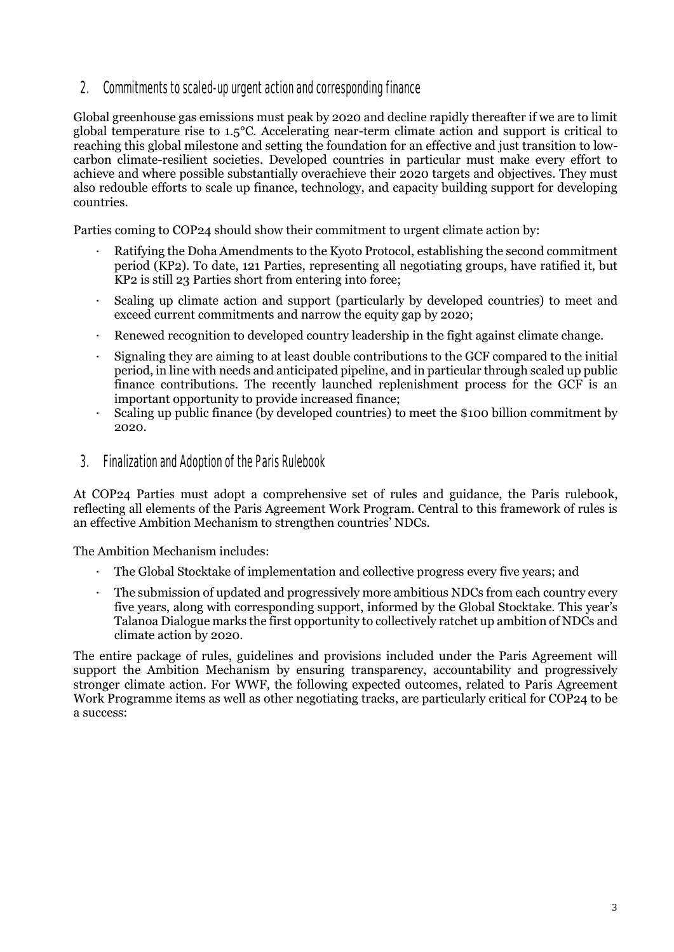2. Commitments to scaled-up urgent action and corresponding finance

Global greenhouse gas emissions must peak by 2020 and decline rapidly thereafter if we are to limit global temperature rise to 1.5°C. Accelerating near-term climate action and support is critical to reaching this global milestone and setting the foundation for an effective and just transition to lowcarbon climate-resilient societies. Developed countries in particular must make every effort to achieve and where possible substantially overachieve their 2020 targets and objectives. They must also redouble efforts to scale up finance, technology, and capacity building support for developing countries.

Parties coming to COP24 should show their commitment to urgent climate action by:

- Ratifying the Doha Amendments to the Kyoto Protocol, establishing the second commitment period (KP2). To date, 121 Parties, representing all negotiating groups, have ratified it, but KP2 is still 23 Parties short from entering into force;
- · Scaling up climate action and support (particularly by developed countries) to meet and exceed current commitments and narrow the equity gap by 2020;
- Renewed recognition to developed country leadership in the fight against climate change.
- · Signaling they are aiming to at least double contributions to the GCF compared to the initial period, in line with needs and anticipated pipeline, and in particular through scaled up public finance contributions. The recently launched replenishment process for the GCF is an important opportunity to provide increased finance;
- Scaling up public finance (by developed countries) to meet the \$100 billion commitment by 2020.
- 3. Finalization and Adoption of the Paris Rulebook

At COP24 Parties must adopt a comprehensive set of rules and guidance, the Paris rulebook, reflecting all elements of the Paris Agreement Work Program. Central to this framework of rules is an effective Ambition Mechanism to strengthen countries' NDCs.

The Ambition Mechanism includes:

- The Global Stocktake of implementation and collective progress every five years; and
- · The submission of updated and progressively more ambitious NDCs from each country every five years, along with corresponding support, informed by the Global Stocktake. This year's Talanoa Dialogue marks the first opportunity to collectively ratchet up ambition of NDCs and climate action by 2020.

The entire package of rules, guidelines and provisions included under the Paris Agreement will support the Ambition Mechanism by ensuring transparency, accountability and progressively stronger climate action. For WWF, the following expected outcomes, related to Paris Agreement Work Programme items as well as other negotiating tracks, are particularly critical for COP24 to be a success: